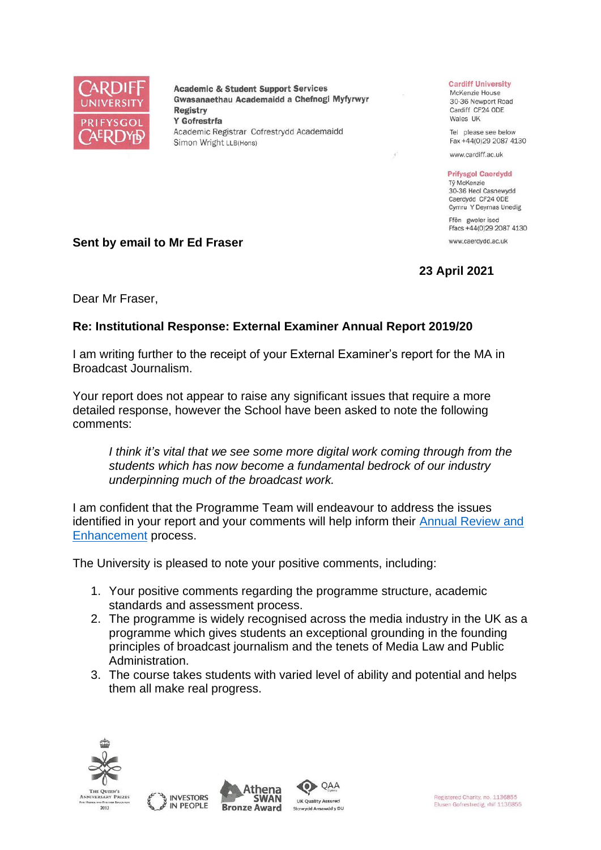

**Academic & Student Support Services** Gwasanaethau Academaidd a Chefnogi Myfyrwyr **Registry** Y Gofrestrfa Academic Registrar Cofrestrydd Academaidd Simon Wright LLB(Hons)

## **Cardiff University**

McKenzie House 30-36 Newport Road Cardiff CF24 ODE Wales UK

Tel please see below Fax +44(0)29 2087 4130

www.cardiff.ac.uk

## **Prifysgol Caerdydd**

Tỷ McKenzie 30-36 Heol Casnewydd Caerdydd CF24 ODE Cymru Y Deyrnas Unedig

Ffôn gweler isod Ffacs +44(0)29 2087 4130 www.caerdydd.ac.uk

## **23 April 2021**

**Sent by email to Mr Ed Fraser**

Dear Mr Fraser,

## **Re: Institutional Response: External Examiner Annual Report 2019/20**

I am writing further to the receipt of your External Examiner's report for the MA in Broadcast Journalism.

Your report does not appear to raise any significant issues that require a more detailed response, however the School have been asked to note the following comments:

*I think it's vital that we see some more digital work coming through from the students which has now become a fundamental bedrock of our industry underpinning much of the broadcast work.* 

I am confident that the Programme Team will endeavour to address the issues identified in your report and your comments will help inform their [Annual Review and](https://www.cardiff.ac.uk/public-information/quality-and-standards/monitoring-and-review/annual-review-and-enhancement)  [Enhancement](https://www.cardiff.ac.uk/public-information/quality-and-standards/monitoring-and-review/annual-review-and-enhancement) process.

The University is pleased to note your positive comments, including:

- 1. Your positive comments regarding the programme structure, academic standards and assessment process.
- 2. The programme is widely recognised across the media industry in the UK as a programme which gives students an exceptional grounding in the founding principles of broadcast journalism and the tenets of Media Law and Public Administration.
- 3. The course takes students with varied level of ability and potential and helps them all make real progress.